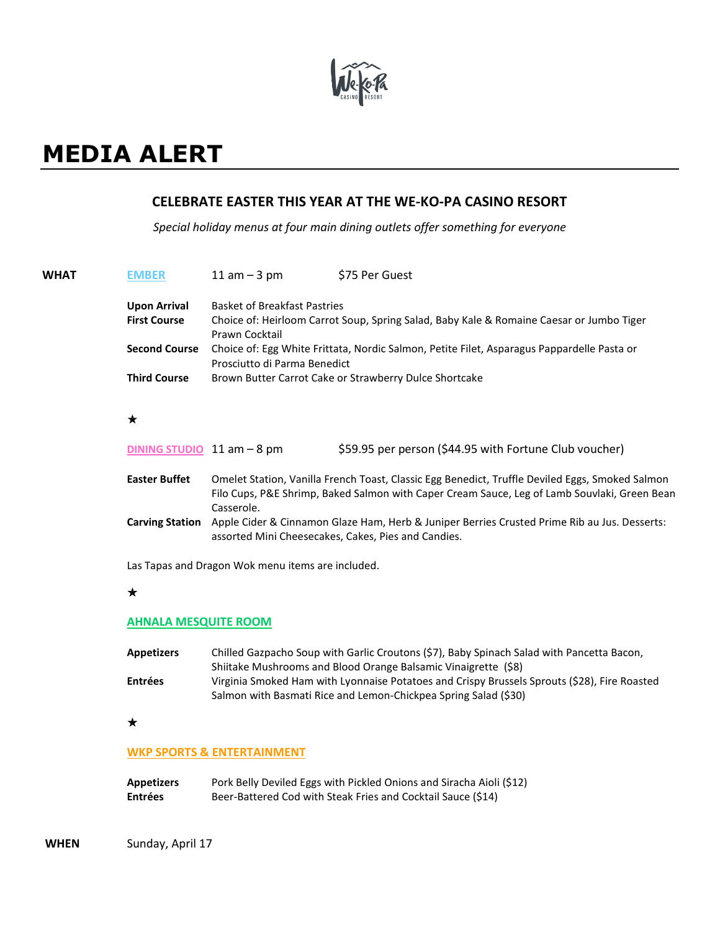

# **MEDIA ALERT**

# **CELEBRATE EASTER THIS YEAR AT THE WE-KO-PA CASINO RESORT**

*Special holiday menus at four main dining outlets offer something for everyone*

| <b>WHAT</b> | <b>EMBER</b>           | $11$ am $-3$ pm                     | \$75 Per Guest                                                                                                                                                                                  |
|-------------|------------------------|-------------------------------------|-------------------------------------------------------------------------------------------------------------------------------------------------------------------------------------------------|
|             | <b>Upon Arrival</b>    | <b>Basket of Breakfast Pastries</b> |                                                                                                                                                                                                 |
|             | <b>First Course</b>    | Prawn Cocktail                      | Choice of: Heirloom Carrot Soup, Spring Salad, Baby Kale & Romaine Caesar or Jumbo Tiger                                                                                                        |
|             | <b>Second Course</b>   | Prosciutto di Parma Benedict        | Choice of: Egg White Frittata, Nordic Salmon, Petite Filet, Asparagus Pappardelle Pasta or                                                                                                      |
|             | <b>Third Course</b>    |                                     | Brown Butter Carrot Cake or Strawberry Dulce Shortcake                                                                                                                                          |
|             | $\star$                |                                     |                                                                                                                                                                                                 |
|             |                        | DINING STUDIO $11$ am $-8$ pm       | \$59.95 per person (\$44.95 with Fortune Club voucher)                                                                                                                                          |
|             | <b>Easter Buffet</b>   | Casserole.                          | Omelet Station, Vanilla French Toast, Classic Egg Benedict, Truffle Deviled Eggs, Smoked Salmon<br>Filo Cups, P&E Shrimp, Baked Salmon with Caper Cream Sauce, Leg of Lamb Souvlaki, Green Bean |
|             | <b>Carving Station</b> |                                     | Apple Cider & Cinnamon Glaze Ham, Herb & Juniper Berries Crusted Prime Rib au Jus. Desserts:<br>assorted Mini Cheesecakes, Cakes, Pies and Candies.                                             |
|             |                        |                                     |                                                                                                                                                                                                 |

Las Tapas and Dragon Wok menu items are included.

#### $\star$

#### **AHNALA MESQUITE ROOM**

| <b>Appetizers</b> | Chilled Gazpacho Soup with Garlic Croutons (\$7), Baby Spinach Salad with Pancetta Bacon,    |  |  |  |
|-------------------|----------------------------------------------------------------------------------------------|--|--|--|
|                   | Shiitake Mushrooms and Blood Orange Balsamic Vinaigrette (\$8)                               |  |  |  |
| <b>Entrées</b>    | Virginia Smoked Ham with Lyonnaise Potatoes and Crispy Brussels Sprouts (\$28), Fire Roasted |  |  |  |
|                   | Salmon with Basmati Rice and Lemon-Chickpea Spring Salad (\$30)                              |  |  |  |

## $\star$

### **WKP SPORTS & ENTERTAINMENT**

| <b>Appetizers</b> | Pork Belly Deviled Eggs with Pickled Onions and Siracha Aioli (\$12) |
|-------------------|----------------------------------------------------------------------|
| <b>Entrées</b>    | Beer-Battered Cod with Steak Fries and Cocktail Sauce (\$14)         |

**WHEN** Sunday, April 17